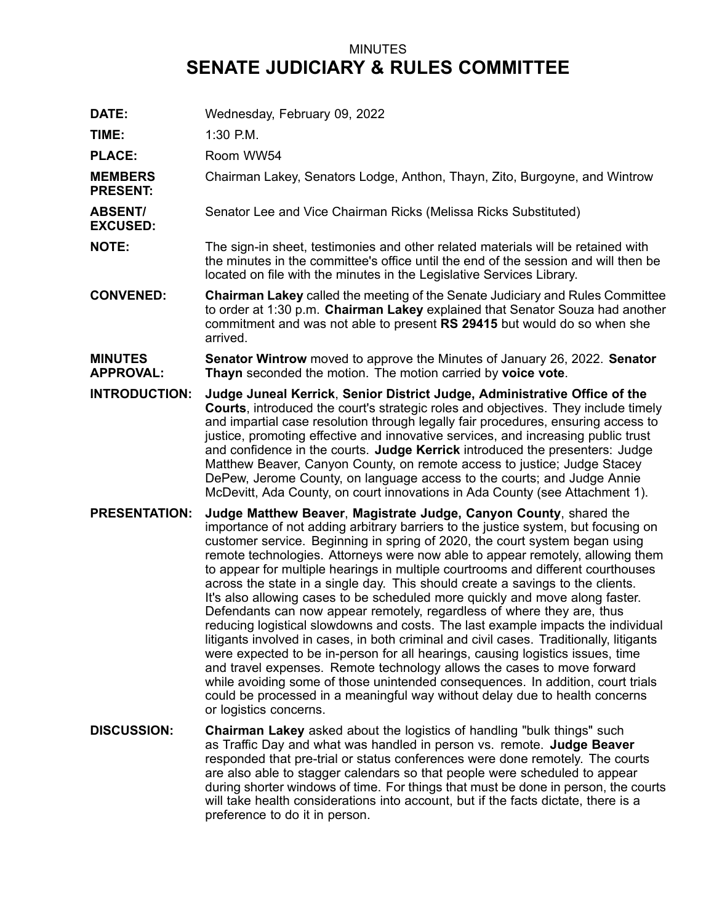## MINUTES **SENATE JUDICIARY & RULES COMMITTEE**

**DATE:** Wednesday, February 09, 2022 **TIME:** 1:30 P.M. PLACE: Room WW54 **MEMBERS PRESENT:** Chairman Lakey, Senators Lodge, Anthon, Thayn, Zito, Burgoyne, and Wintrow **ABSENT/ EXCUSED:** Senator Lee and Vice Chairman Ricks (Melissa Ricks Substituted) **NOTE:** The sign-in sheet, testimonies and other related materials will be retained with the minutes in the committee's office until the end of the session and will then be located on file with the minutes in the Legislative Services Library. **CONVENED: Chairman Lakey** called the meeting of the Senate Judiciary and Rules Committee to order at 1:30 p.m. **Chairman Lakey** explained that Senator Souza had another commitment and was not able to present **RS 29415** but would do so when she arrived. **MINUTES APPROVAL: Senator Wintrow** moved to approve the Minutes of January 26, 2022. **Senator Thayn** seconded the motion. The motion carried by **voice vote**. **INTRODUCTION: Judge Juneal Kerrick**, **Senior District Judge, Administrative Office of the Courts**, introduced the court's strategic roles and objectives. They include timely and impartial case resolution through legally fair procedures, ensuring access to justice, promoting effective and innovative services, and increasing public trust and confidence in the courts. **Judge Kerrick** introduced the presenters: Judge Matthew Beaver, Canyon County, on remote access to justice; Judge Stacey DePew, Jerome County, on language access to the courts; and Judge Annie McDevitt, Ada County, on court innovations in Ada County (see Attachment 1). **PRESENTATION: Judge Matthew Beaver**, **Magistrate Judge, Canyon County**, shared the importance of not adding arbitrary barriers to the justice system, but focusing on customer service. Beginning in spring of 2020, the court system began using remote technologies. Attorneys were now able to appear remotely, allowing them to appear for multiple hearings in multiple courtrooms and different courthouses across the state in <sup>a</sup> single day. This should create <sup>a</sup> savings to the clients. It's also allowing cases to be scheduled more quickly and move along faster. Defendants can now appear remotely, regardless of where they are, thus reducing logistical slowdowns and costs. The last example impacts the individual litigants involved in cases, in both criminal and civil cases. Traditionally, litigants were expected to be in-person for all hearings, causing logistics issues, time and travel expenses. Remote technology allows the cases to move forward while avoiding some of those unintended consequences. In addition, court trials could be processed in <sup>a</sup> meaningful way without delay due to health concerns or logistics concerns. **DISCUSSION: Chairman Lakey** asked about the logistics of handling "bulk things" such as Traffic Day and what was handled in person vs. remote. **Judge Beaver** responded that pre-trial or status conferences were done remotely. The courts are also able to stagger calendars so that people were scheduled to appear during shorter windows of time. For things that must be done in person, the courts will take health considerations into account, but if the facts dictate, there is <sup>a</sup> preference to do it in person.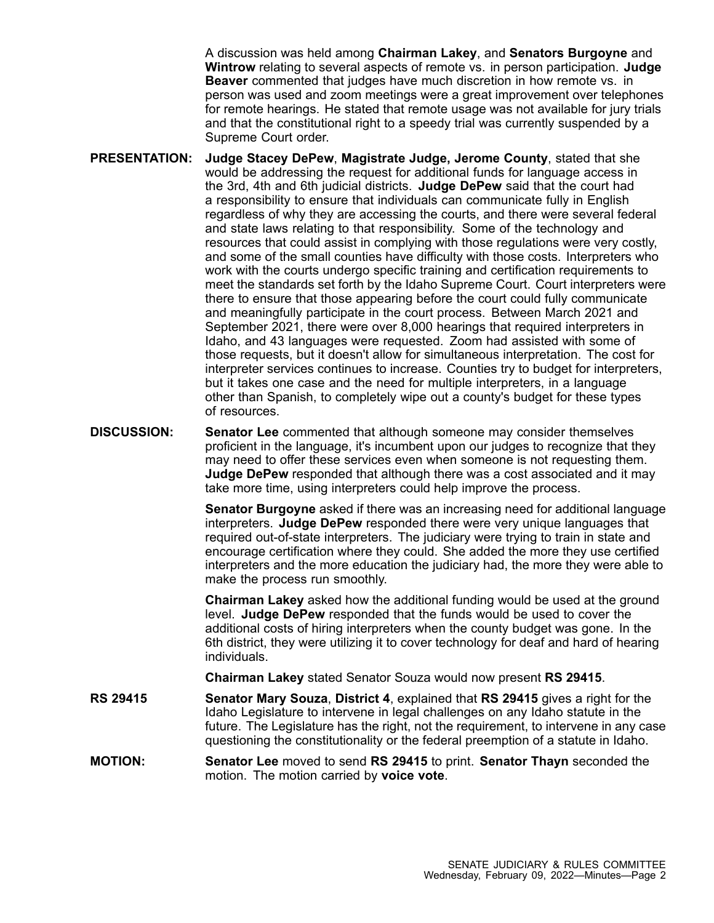A discussion was held among **Chairman Lakey**, and **Senators Burgoyne** and **Wintrow** relating to several aspects of remote vs. in person participation. **Judge Beaver** commented that judges have much discretion in how remote vs. in person was used and zoom meetings were <sup>a</sup> great improvement over telephones for remote hearings. He stated that remote usage was not available for jury trials and that the constitutional right to <sup>a</sup> speedy trial was currently suspended by <sup>a</sup> Supreme Court order.

- **PRESENTATION: Judge Stacey DePew**, **Magistrate Judge, Jerome County**, stated that she would be addressing the request for additional funds for language access in the 3rd, 4th and 6th judicial districts. **Judge DePew** said that the court had <sup>a</sup> responsibility to ensure that individuals can communicate fully in English regardless of why they are accessing the courts, and there were several federal and state laws relating to that responsibility. Some of the technology and resources that could assist in complying with those regulations were very costly, and some of the small counties have difficulty with those costs. Interpreters who work with the courts undergo specific training and certification requirements to meet the standards set forth by the Idaho Supreme Court. Court interpreters were there to ensure that those appearing before the court could fully communicate and meaningfully participate in the court process. Between March 2021 and September 2021, there were over 8,000 hearings that required interpreters in Idaho, and 43 languages were requested. Zoom had assisted with some of those requests, but it doesn't allow for simultaneous interpretation. The cost for interpreter services continues to increase. Counties try to budget for interpreters, but it takes one case and the need for multiple interpreters, in <sup>a</sup> language other than Spanish, to completely wipe out <sup>a</sup> county's budget for these types of resources.
- **DISCUSSION: Senator Lee** commented that although someone may consider themselves proficient in the language, it's incumbent upon our judges to recognize that they may need to offer these services even when someone is not requesting them. **Judge DePew** responded that although there was <sup>a</sup> cost associated and it may take more time, using interpreters could help improve the process.

**Senator Burgoyne** asked if there was an increasing need for additional language interpreters. **Judge DePew** responded there were very unique languages that required out-of-state interpreters. The judiciary were trying to train in state and encourage certification where they could. She added the more they use certified interpreters and the more education the judiciary had, the more they were able to make the process run smoothly.

**Chairman Lakey** asked how the additional funding would be used at the ground level. **Judge DePew** responded that the funds would be used to cover the additional costs of hiring interpreters when the county budget was gone. In the 6th district, they were utilizing it to cover technology for deaf and hard of hearing individuals.

**Chairman Lakey** stated Senator Souza would now present **RS 29415**.

- **RS 29415 Senator Mary Souza**, **District 4**, explained that **RS 29415** gives <sup>a</sup> right for the Idaho Legislature to intervene in legal challenges on any Idaho statute in the future. The Legislature has the right, not the requirement, to intervene in any case questioning the constitutionality or the federal preemption of <sup>a</sup> statute in Idaho.
- **MOTION: Senator Lee** moved to send **RS 29415** to print. **Senator Thayn** seconded the motion. The motion carried by **voice vote**.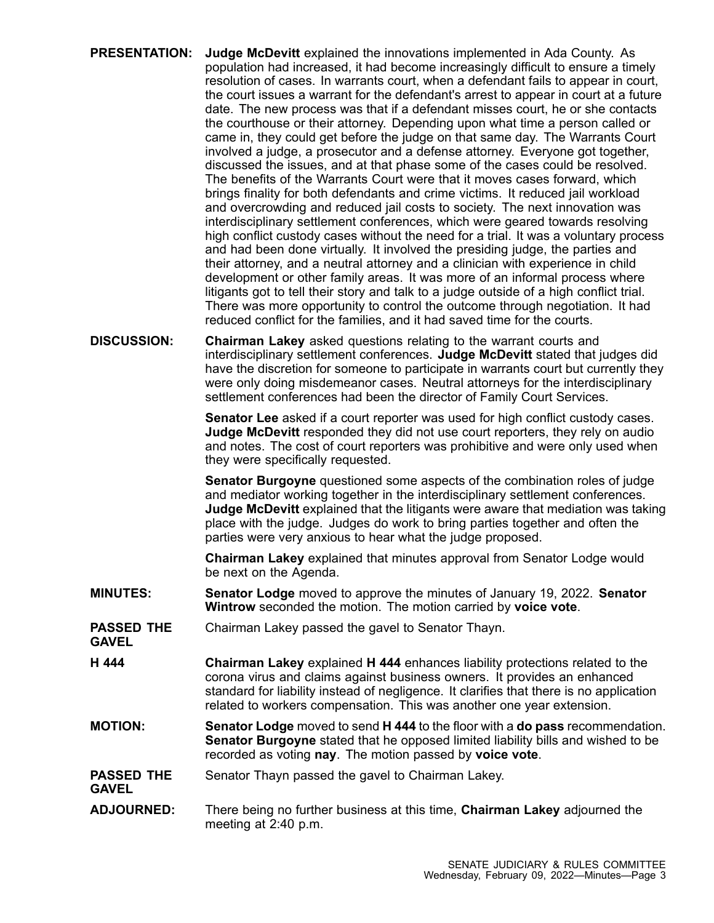| <b>PRESENTATION:</b> | Judge McDevitt explained the innovations implemented in Ada County. As<br>population had increased, it had become increasingly difficult to ensure a timely<br>resolution of cases. In warrants court, when a defendant fails to appear in court,<br>the court issues a warrant for the defendant's arrest to appear in court at a future<br>date. The new process was that if a defendant misses court, he or she contacts<br>the courthouse or their attorney. Depending upon what time a person called or<br>came in, they could get before the judge on that same day. The Warrants Court<br>involved a judge, a prosecutor and a defense attorney. Everyone got together,<br>discussed the issues, and at that phase some of the cases could be resolved.<br>The benefits of the Warrants Court were that it moves cases forward, which<br>brings finality for both defendants and crime victims. It reduced jail workload<br>and overcrowding and reduced jail costs to society. The next innovation was<br>interdisciplinary settlement conferences, which were geared towards resolving<br>high conflict custody cases without the need for a trial. It was a voluntary process<br>and had been done virtually. It involved the presiding judge, the parties and<br>their attorney, and a neutral attorney and a clinician with experience in child<br>development or other family areas. It was more of an informal process where<br>litigants got to tell their story and talk to a judge outside of a high conflict trial.<br>There was more opportunity to control the outcome through negotiation. It had<br>reduced conflict for the families, and it had saved time for the courts. |
|----------------------|----------------------------------------------------------------------------------------------------------------------------------------------------------------------------------------------------------------------------------------------------------------------------------------------------------------------------------------------------------------------------------------------------------------------------------------------------------------------------------------------------------------------------------------------------------------------------------------------------------------------------------------------------------------------------------------------------------------------------------------------------------------------------------------------------------------------------------------------------------------------------------------------------------------------------------------------------------------------------------------------------------------------------------------------------------------------------------------------------------------------------------------------------------------------------------------------------------------------------------------------------------------------------------------------------------------------------------------------------------------------------------------------------------------------------------------------------------------------------------------------------------------------------------------------------------------------------------------------------------------------------------------------------------------------------------------------------|
| <b>DISCUSSION:</b>   | <b>Chairman Lakey</b> asked questions relating to the warrant courts and                                                                                                                                                                                                                                                                                                                                                                                                                                                                                                                                                                                                                                                                                                                                                                                                                                                                                                                                                                                                                                                                                                                                                                                                                                                                                                                                                                                                                                                                                                                                                                                                                           |

**DISCUSSION: Chairman Lakey** asked questions relating to the warrant courts and interdisciplinary settlement conferences. **Judge McDevitt** stated that judges did have the discretion for someone to participate in warrants court but currently they were only doing misdemeanor cases. Neutral attorneys for the interdisciplinary settlement conferences had been the director of Family Court Services.

> **Senator Lee** asked if <sup>a</sup> court reporter was used for high conflict custody cases. **Judge McDevitt** responded they did not use court reporters, they rely on audio and notes. The cost of court reporters was prohibitive and were only used when they were specifically requested.

**Senator Burgoyne** questioned some aspects of the combination roles of judge and mediator working together in the interdisciplinary settlement conferences. **Judge McDevitt** explained that the litigants were aware that mediation was taking place with the judge. Judges do work to bring parties together and often the parties were very anxious to hear what the judge proposed.

**Chairman Lakey** explained that minutes approval from Senator Lodge would be next on the Agenda.

- **MINUTES: Senator Lodge** moved to approve the minutes of January 19, 2022. **Senator Wintrow** seconded the motion. The motion carried by **voice vote**.
- **PASSED THE GAVEL** Chairman Lakey passed the gavel to Senator Thayn.
- **H 444 Chairman Lakey** explained **H 444** enhances liability protections related to the corona virus and claims against business owners. It provides an enhanced standard for liability instead of negligence. It clarifies that there is no application related to workers compensation. This was another one year extension.
- **MOTION: Senator Lodge** moved to send **H 444** to the floor with <sup>a</sup> **do pass** recommendation. **Senator Burgoyne** stated that he opposed limited liability bills and wished to be recorded as voting **nay**. The motion passed by **voice vote**.
- **PASSED THE GAVEL** Senator Thayn passed the gavel to Chairman Lakey.
- **ADJOURNED:** There being no further business at this time, **Chairman Lakey** adjourned the meeting at 2:40 p.m.